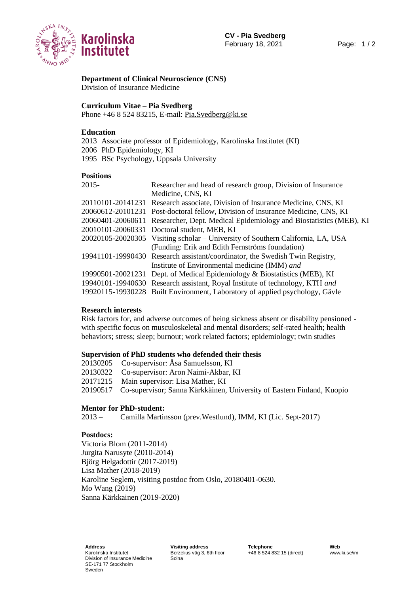

**Department of Clinical Neuroscience (CNS)** Division of Insurance Medicine

#### **Curriculum Vitae – Pia Svedberg**

Phone +46 8 524 83215, E-mail: [Pia.Svedberg@ki.se](mailto:Pia.Svedberg@ki.se)

### **Education**

2013 Associate professor of Epidemiology, Karolinska Institutet (KI) 2006 PhD Epidemiology, KI 1995 BSc Psychology, Uppsala University

### **Positions**

| $2015 -$ | Researcher and head of research group, Division of Insurance                         |
|----------|--------------------------------------------------------------------------------------|
|          | Medicine, CNS, KI                                                                    |
|          | 20110101-20141231 Research associate, Division of Insurance Medicine, CNS, KI        |
|          | 20060612-20101231 Post-doctoral fellow, Division of Insurance Medicine, CNS, KI      |
|          | 20060401-20060611 Researcher, Dept. Medical Epidemiology and Biostatistics (MEB), KI |
|          | 20010101-20060331 Doctoral student, MEB, KI                                          |
|          | 20020105-20020305 Visiting scholar – University of Southern California, LA, USA      |
|          | (Funding: Erik and Edith Fernströms foundation)                                      |
|          | 19941101-19990430 Research assistant/coordinator, the Swedish Twin Registry,         |
|          | Institute of Environmental medicine (IMM) and                                        |
|          | 19990501-20021231 Dept. of Medical Epidemiology & Biostatistics (MEB), KI            |
|          | 19940101-19940630 Research assistant, Royal Institute of technology, KTH and         |
|          | 19920115-19930228 Built Environment, Laboratory of applied psychology, Gävle         |

#### **Research interests**

Risk factors for, and adverse outcomes of being sickness absent or disability pensioned with specific focus on musculoskeletal and mental disorders; self-rated health; health behaviors; stress; sleep; burnout; work related factors; epidemiology; twin studies

#### **Supervision of PhD students who defended their thesis**

- 20130205 Co-supervisor: Åsa Samuelsson, KI
- 20130322 Co-supervisor: Aron Naimi-Akbar, KI
- 20171215 Main supervisor: Lisa Mather, KI
- 20190517 Co-supervisor; Sanna Kärkkäinen, University of Eastern Finland, Kuopio

#### **Mentor for PhD-student:**

2013 –Camilla Martinsson (prev.Westlund), IMM, KI (Lic. Sept-2017)

## **Postdocs:**

Victoria Blom (2011-2014) Jurgita Narusyte (2010-2014) Björg Helgadottir (2017-2019) Lisa Mather (2018-2019) Karoline Seglem, visiting postdoc from Oslo, 20180401-0630. Mo Wang (2019) Sanna Kärkkainen (2019-2020)